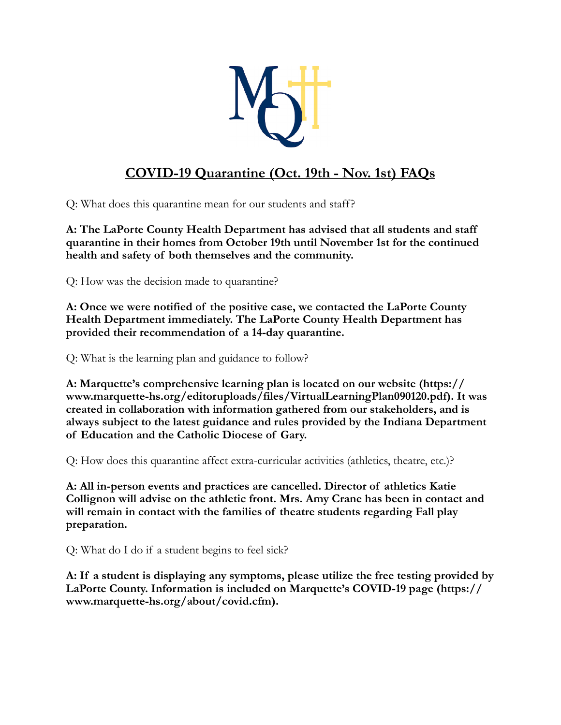

## **COVID-19 Quarantine (Oct. 19th - Nov. 1st) FAQs**

Q: What does this quarantine mean for our students and staff?

**A: The LaPorte County Health Department has advised that all students and staff quarantine in their homes from October 19th until November 1st for the continued health and safety of both themselves and the community.** 

Q: How was the decision made to quarantine?

**A: Once we were notified of the positive case, we contacted the LaPorte County Health Department immediately. The LaPorte County Health Department has provided their recommendation of a 14-day quarantine.** 

Q: What is the learning plan and guidance to follow?

**A: Marquette's comprehensive learning plan is located on our website (https:// www.marquette-hs.org/editoruploads/files/VirtualLearningPlan090120.pdf). It was created in collaboration with information gathered from our stakeholders, and is always subject to the latest guidance and rules provided by the Indiana Department of Education and the Catholic Diocese of Gary.**

Q: How does this quarantine affect extra-curricular activities (athletics, theatre, etc.)?

**A: All in-person events and practices are cancelled. Director of athletics Katie Collignon will advise on the athletic front. Mrs. Amy Crane has been in contact and will remain in contact with the families of theatre students regarding Fall play preparation.**

Q: What do I do if a student begins to feel sick?

**A: If a student is displaying any symptoms, please utilize the free testing provided by LaPorte County. Information is included on Marquette's COVID-19 page (https:// www.marquette-hs.org/about/covid.cfm).**